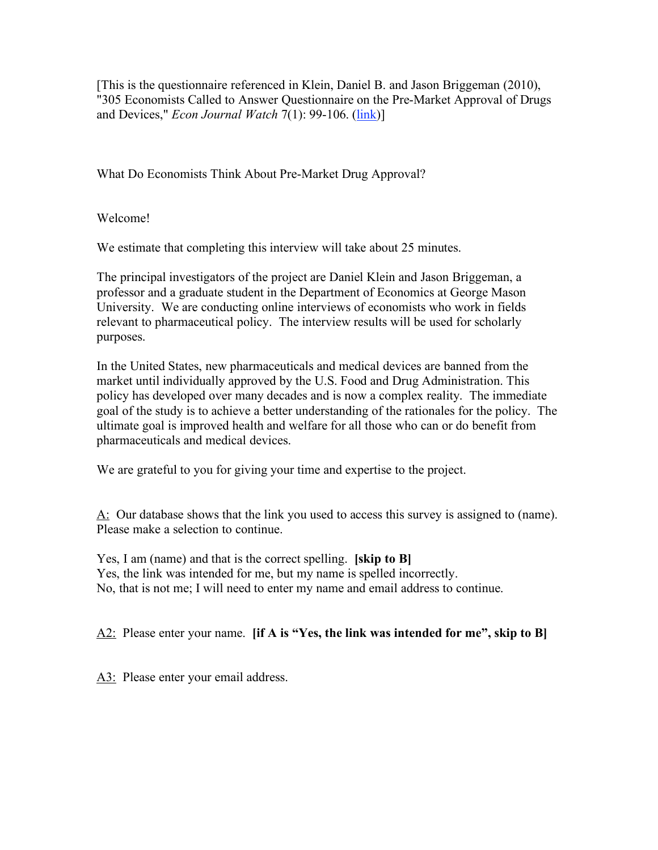[This is the questionnaire referenced in Klein, Daniel B. and Jason Briggeman (2010), "305 Economists Called to Answer Questionnaire on the Pre-Market Approval of Drugs and Devices," *Econ Journal Watch* 7(1): 99-106. [\(link\)](http://econjwatch.org/articles/305-economists-called-to-answer-questionnaire-on-the-pre-market-approval-of-drugs-and-devices)]

What Do Economists Think About Pre-Market Drug Approval?

Welcome!

We estimate that completing this interview will take about 25 minutes.

The principal investigators of the project are Daniel Klein and Jason Briggeman, a professor and a graduate student in the Department of Economics at George Mason University. We are conducting online interviews of economists who work in fields relevant to pharmaceutical policy. The interview results will be used for scholarly purposes.

In the United States, new pharmaceuticals and medical devices are banned from the market until individually approved by the U.S. Food and Drug Administration. This policy has developed over many decades and is now a complex reality. The immediate goal of the study is to achieve a better understanding of the rationales for the policy. The ultimate goal is improved health and welfare for all those who can or do benefit from pharmaceuticals and medical devices.

We are grateful to you for giving your time and expertise to the project.

A: Our database shows that the link you used to access this survey is assigned to (name). Please make a selection to continue.

Yes, I am (name) and that is the correct spelling. **[skip to B]** Yes, the link was intended for me, but my name is spelled incorrectly. No, that is not me; I will need to enter my name and email address to continue.

A2: Please enter your name. **[if A is "Yes, the link was intended for me", skip to B]**

A3: Please enter your email address.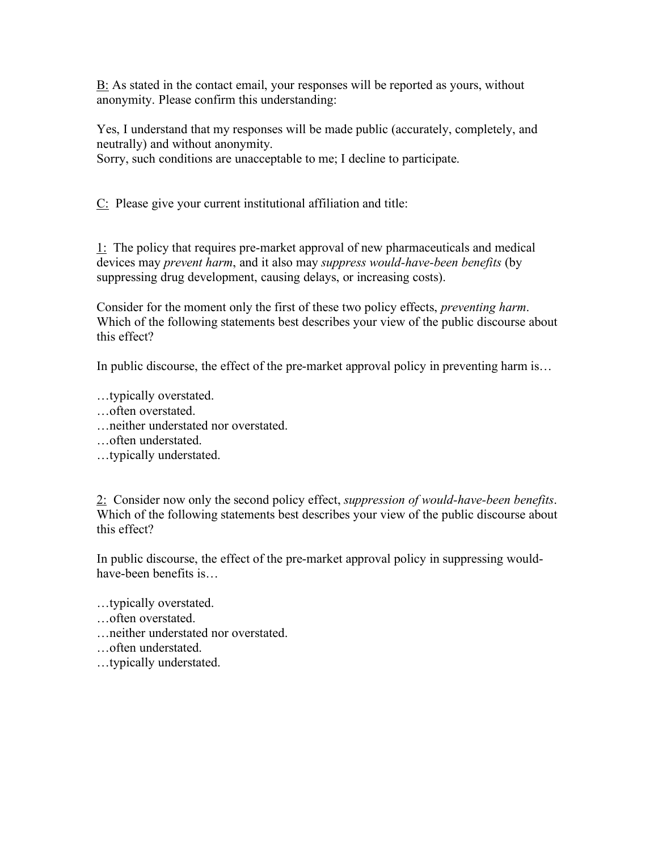B: As stated in the contact email, your responses will be reported as yours, without anonymity. Please confirm this understanding:

Yes, I understand that my responses will be made public (accurately, completely, and neutrally) and without anonymity.

Sorry, such conditions are unacceptable to me; I decline to participate.

C: Please give your current institutional affiliation and title:

1: The policy that requires pre-market approval of new pharmaceuticals and medical devices may *prevent harm*, and it also may *suppress would-have-been benefits* (by suppressing drug development, causing delays, or increasing costs).

Consider for the moment only the first of these two policy effects, *preventing harm*. Which of the following statements best describes your view of the public discourse about this effect?

In public discourse, the effect of the pre-market approval policy in preventing harm is...

…typically overstated.

- …often overstated.
- …neither understated nor overstated.
- …often understated.
- …typically understated.

2: Consider now only the second policy effect, *suppression of would-have-been benefits*. Which of the following statements best describes your view of the public discourse about this effect?

In public discourse, the effect of the pre-market approval policy in suppressing wouldhave-been benefits is…

…typically overstated.

- …often overstated.
- …neither understated nor overstated.
- …often understated.
- …typically understated.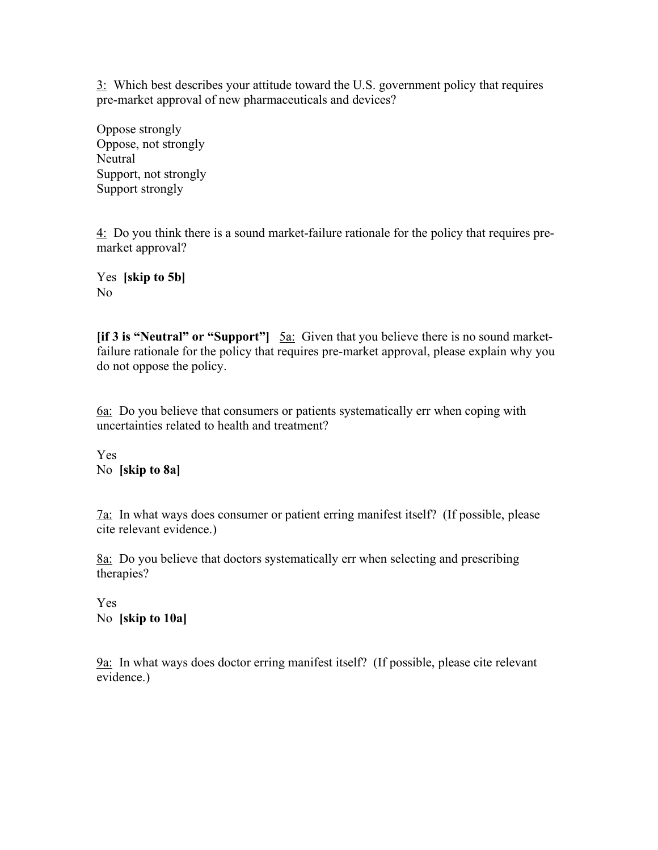3: Which best describes your attitude toward the U.S. government policy that requires pre-market approval of new pharmaceuticals and devices?

Oppose strongly Oppose, not strongly **Neutral** Support, not strongly Support strongly

4: Do you think there is a sound market-failure rationale for the policy that requires premarket approval?

Yes **[skip to 5b]** No

**[if 3 is "Neutral" or "Support"]** 5a: Given that you believe there is no sound marketfailure rationale for the policy that requires pre-market approval, please explain why you do not oppose the policy.

6a: Do you believe that consumers or patients systematically err when coping with uncertainties related to health and treatment?

Yes No **[skip to 8a]**

7a: In what ways does consumer or patient erring manifest itself? (If possible, please cite relevant evidence.)

8a: Do you believe that doctors systematically err when selecting and prescribing therapies?

Yes No **[skip to 10a]**

9a: In what ways does doctor erring manifest itself? (If possible, please cite relevant evidence.)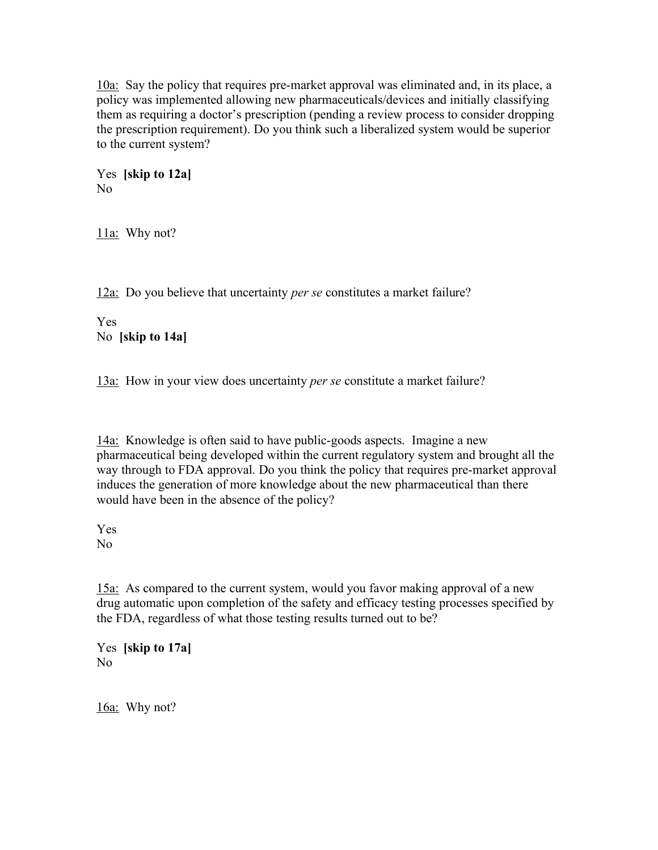10a: Say the policy that requires pre-market approval was eliminated and, in its place, a policy was implemented allowing new pharmaceuticals/devices and initially classifying them as requiring a doctor's prescription (pending a review process to consider dropping the prescription requirement). Do you think such a liberalized system would be superior to the current system?

Yes **[skip to 12a]** No

11a: Why not?

12a: Do you believe that uncertainty *per se* constitutes a market failure?

Yes No **[skip to 14a]**

13a: How in your view does uncertainty *per se* constitute a market failure?

14a: Knowledge is often said to have public-goods aspects. Imagine a new pharmaceutical being developed within the current regulatory system and brought all the way through to FDA approval. Do you think the policy that requires pre-market approval induces the generation of more knowledge about the new pharmaceutical than there would have been in the absence of the policy?

Yes No

15a: As compared to the current system, would you favor making approval of a new drug automatic upon completion of the safety and efficacy testing processes specified by the FDA, regardless of what those testing results turned out to be?

Yes **[skip to 17a]** No

16a: Why not?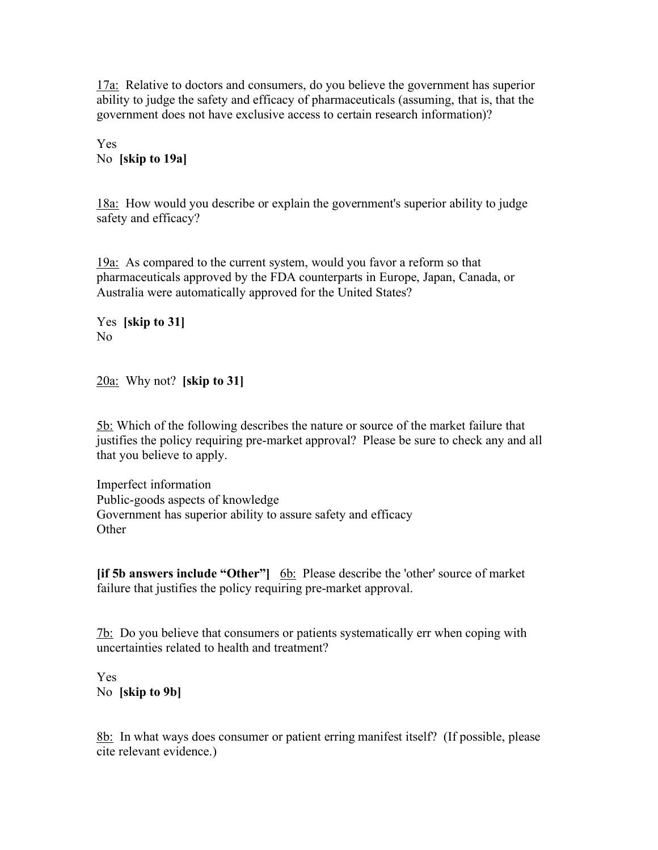17a: Relative to doctors and consumers, do you believe the government has superior ability to judge the safety and efficacy of pharmaceuticals (assuming, that is, that the government does not have exclusive access to certain research information)?

Yes No **[skip to 19a]**

18a: How would you describe or explain the government's superior ability to judge safety and efficacy?

19a: As compared to the current system, would you favor a reform so that pharmaceuticals approved by the FDA counterparts in Europe, Japan, Canada, or Australia were automatically approved for the United States?

Yes **[skip to 31]** No

20a: Why not? **[skip to 31]**

5b: Which of the following describes the nature or source of the market failure that justifies the policy requiring pre-market approval? Please be sure to check any and all that you believe to apply.

Imperfect information Public-goods aspects of knowledge Government has superior ability to assure safety and efficacy **Other** 

**[if 5b answers include "Other"]** 6b: Please describe the 'other' source of market failure that justifies the policy requiring pre-market approval.

7b: Do you believe that consumers or patients systematically err when coping with uncertainties related to health and treatment?

Yes No **[skip to 9b]**

8b: In what ways does consumer or patient erring manifest itself? (If possible, please cite relevant evidence.)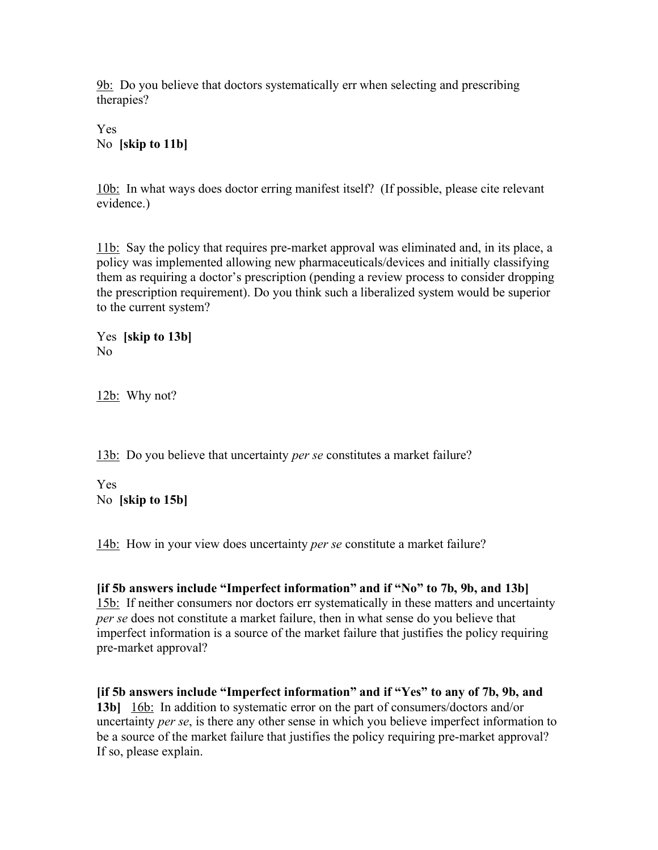9b: Do you believe that doctors systematically err when selecting and prescribing therapies?

Yes No **[skip to 11b]**

10b: In what ways does doctor erring manifest itself? (If possible, please cite relevant evidence.)

11b: Say the policy that requires pre-market approval was eliminated and, in its place, a policy was implemented allowing new pharmaceuticals/devices and initially classifying them as requiring a doctor's prescription (pending a review process to consider dropping the prescription requirement). Do you think such a liberalized system would be superior to the current system?

Yes **[skip to 13b]** No

12b: Why not?

13b: Do you believe that uncertainty *per se* constitutes a market failure?

Yes No **[skip to 15b]**

14b: How in your view does uncertainty *per se* constitute a market failure?

**[if 5b answers include "Imperfect information" and if "No" to 7b, 9b, and 13b]** 15b: If neither consumers nor doctors err systematically in these matters and uncertainty *per se* does not constitute a market failure, then in what sense do you believe that imperfect information is a source of the market failure that justifies the policy requiring pre-market approval?

**[if 5b answers include "Imperfect information" and if "Yes" to any of 7b, 9b, and 13b]** 16b: In addition to systematic error on the part of consumers/doctors and/or uncertainty *per se*, is there any other sense in which you believe imperfect information to be a source of the market failure that justifies the policy requiring pre-market approval? If so, please explain.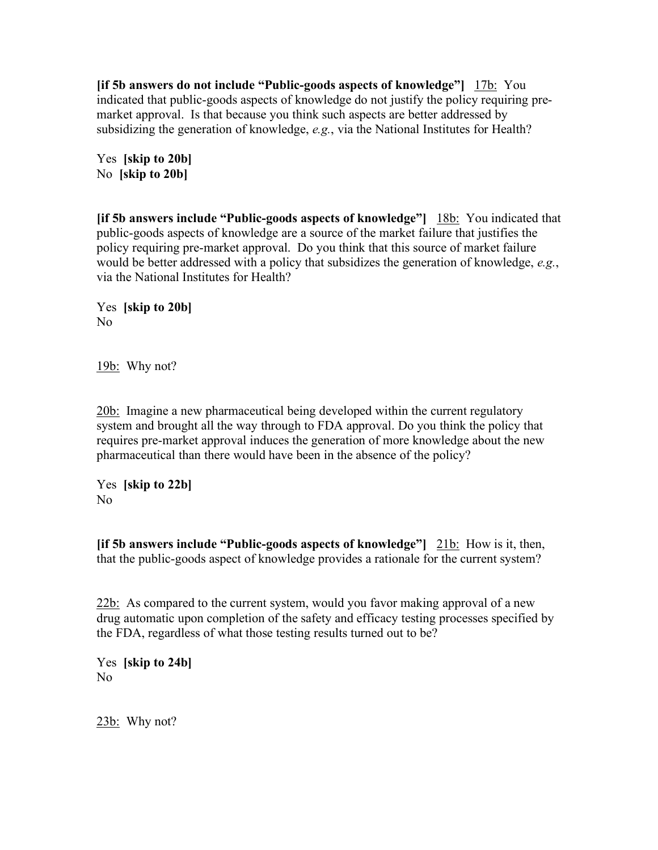**[if 5b answers do not include "Public-goods aspects of knowledge"]** 17b: You indicated that public-goods aspects of knowledge do not justify the policy requiring premarket approval. Is that because you think such aspects are better addressed by subsidizing the generation of knowledge, *e.g.*, via the National Institutes for Health?

Yes **[skip to 20b]** No **[skip to 20b]**

**[if 5b answers include "Public-goods aspects of knowledge"]** 18b: You indicated that public-goods aspects of knowledge are a source of the market failure that justifies the policy requiring pre-market approval. Do you think that this source of market failure would be better addressed with a policy that subsidizes the generation of knowledge, *e.g.*, via the National Institutes for Health?

Yes **[skip to 20b]** No

19b: Why not?

20b: Imagine a new pharmaceutical being developed within the current regulatory system and brought all the way through to FDA approval. Do you think the policy that requires pre-market approval induces the generation of more knowledge about the new pharmaceutical than there would have been in the absence of the policy?

Yes **[skip to 22b]** No

**[if 5b answers include "Public-goods aspects of knowledge"]** 21b: How is it, then, that the public-goods aspect of knowledge provides a rationale for the current system?

22b: As compared to the current system, would you favor making approval of a new drug automatic upon completion of the safety and efficacy testing processes specified by the FDA, regardless of what those testing results turned out to be?

Yes **[skip to 24b]** No

23b: Why not?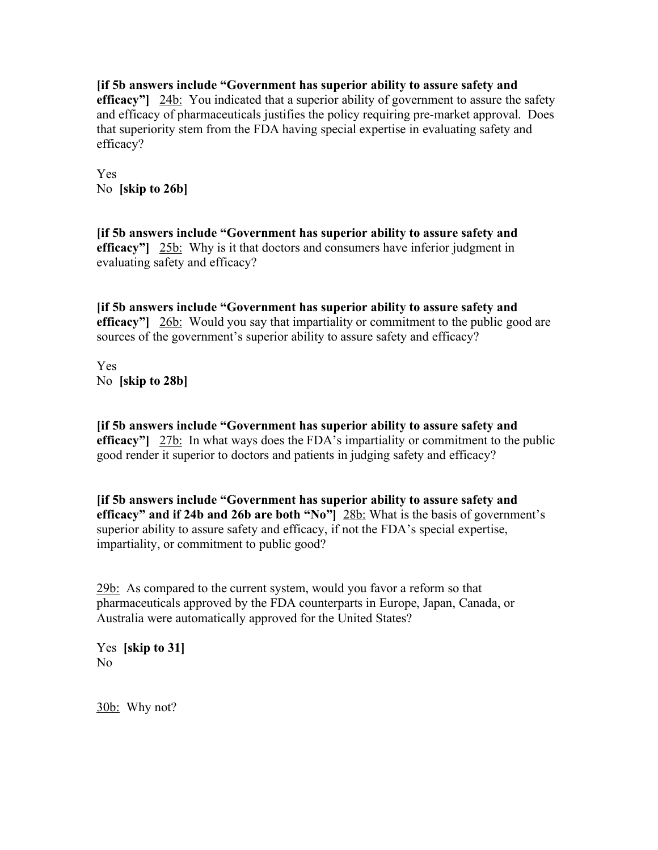**[if 5b answers include "Government has superior ability to assure safety and efficacy"** 24b: You indicated that a superior ability of government to assure the safety and efficacy of pharmaceuticals justifies the policy requiring pre-market approval. Does that superiority stem from the FDA having special expertise in evaluating safety and efficacy?

Yes No **[skip to 26b]**

**[if 5b answers include "Government has superior ability to assure safety and efficacy"** 25b: Why is it that doctors and consumers have inferior judgment in evaluating safety and efficacy?

**[if 5b answers include "Government has superior ability to assure safety and efficacy"]** 26b: Would you say that impartiality or commitment to the public good are sources of the government's superior ability to assure safety and efficacy?

Yes No **[skip to 28b]**

**[if 5b answers include "Government has superior ability to assure safety and efficacy"** 27b: In what ways does the FDA's impartiality or commitment to the public good render it superior to doctors and patients in judging safety and efficacy?

**[if 5b answers include "Government has superior ability to assure safety and efficacy" and if 24b and 26b are both "No"]** 28b: What is the basis of government's superior ability to assure safety and efficacy, if not the FDA's special expertise, impartiality, or commitment to public good?

29b: As compared to the current system, would you favor a reform so that pharmaceuticals approved by the FDA counterparts in Europe, Japan, Canada, or Australia were automatically approved for the United States?

Yes **[skip to 31]** No

30b: Why not?